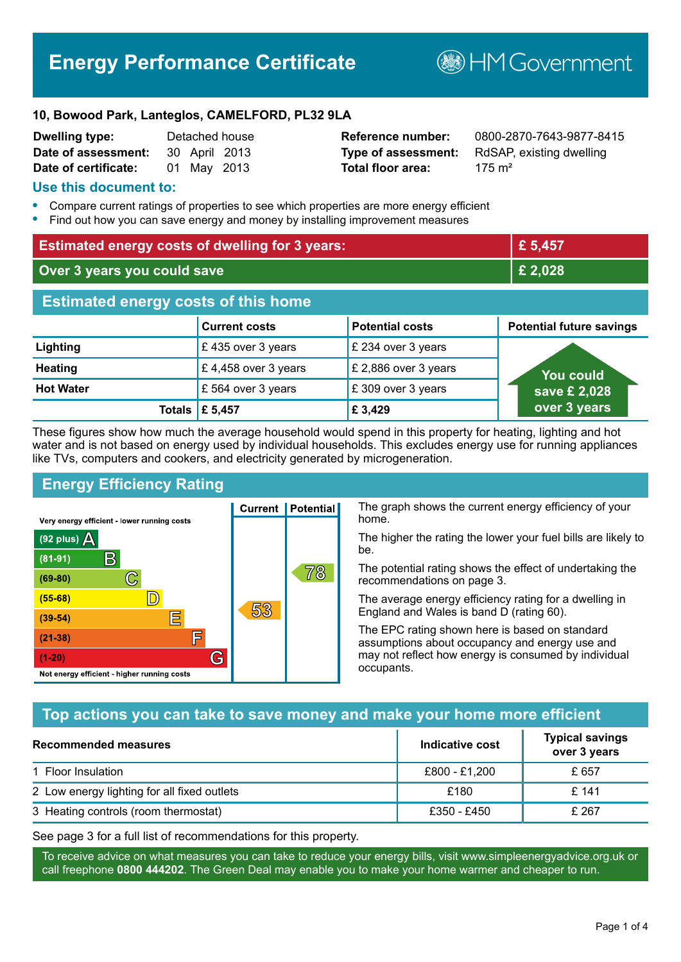# **Energy Performance Certificate**

**B**HMGovernment

#### **10, Bowood Park, Lanteglos, CAMELFORD, PL32 9LA**

| <b>Dwelling type:</b> |             | Detached house |
|-----------------------|-------------|----------------|
| Date of assessment:   |             | 30 April 2013  |
| Date of certificate:  | 01 May 2013 |                |

# **Total floor area:** 175 m<sup>2</sup>

**Reference number:** 0800-2870-7643-9877-8415 **Type of assessment:** RdSAP, existing dwelling

#### **Use this document to:**

- **•** Compare current ratings of properties to see which properties are more energy efficient
- **•** Find out how you can save energy and money by installing improvement measures

| <b>Estimated energy costs of dwelling for 3 years:</b> |                      | £ 5,457                |                                 |
|--------------------------------------------------------|----------------------|------------------------|---------------------------------|
| Over 3 years you could save                            |                      | £ 2,028                |                                 |
| <b>Estimated energy costs of this home</b>             |                      |                        |                                 |
|                                                        | <b>Current costs</b> | <b>Potential costs</b> | <b>Potential future savings</b> |
| Lighting                                               | £435 over 3 years    | £ 234 over 3 years     |                                 |
| <b>Heating</b>                                         | £4,458 over 3 years  | £ 2,886 over 3 years   | You could                       |
| <b>Hot Water</b>                                       | £ 564 over 3 years   | £309 over 3 years      | save £ 2,028                    |
| Totals                                                 | £ 5,457              | £ 3,429                | over 3 years                    |

These figures show how much the average household would spend in this property for heating, lighting and hot water and is not based on energy used by individual households. This excludes energy use for running appliances like TVs, computers and cookers, and electricity generated by microgeneration.

**Current | Potential** 

53

# **Energy Efficiency Rating**

 $\mathbb{C}$ 

 $\mathbb{D}$ 

E

庐

G

Very energy efficient - lower running costs

R

Not energy efficient - higher running costs

(92 plus)  $\Delta$ 

 $(81 - 91)$ 

 $(69 - 80)$ 

 $(55-68)$ 

 $(39 - 54)$ 

 $(21-38)$ 

 $(1-20)$ 

The graph shows the current energy efficiency of your home.

The higher the rating the lower your fuel bills are likely to be.

The potential rating shows the effect of undertaking the recommendations on page 3.

The average energy efficiency rating for a dwelling in England and Wales is band D (rating 60).

The EPC rating shown here is based on standard assumptions about occupancy and energy use and may not reflect how energy is consumed by individual occupants.

# **Top actions you can take to save money and make your home more efficient**

78

| Recommended measures                        | Indicative cost | <b>Typical savings</b><br>over 3 years |
|---------------------------------------------|-----------------|----------------------------------------|
| 1 Floor Insulation                          | £800 - £1,200   | £ 657                                  |
| 2 Low energy lighting for all fixed outlets | £180            | £ 141                                  |
| 3 Heating controls (room thermostat)        | £350 - £450     | £ 267                                  |

See page 3 for a full list of recommendations for this property.

To receive advice on what measures you can take to reduce your energy bills, visit www.simpleenergyadvice.org.uk or call freephone **0800 444202**. The Green Deal may enable you to make your home warmer and cheaper to run.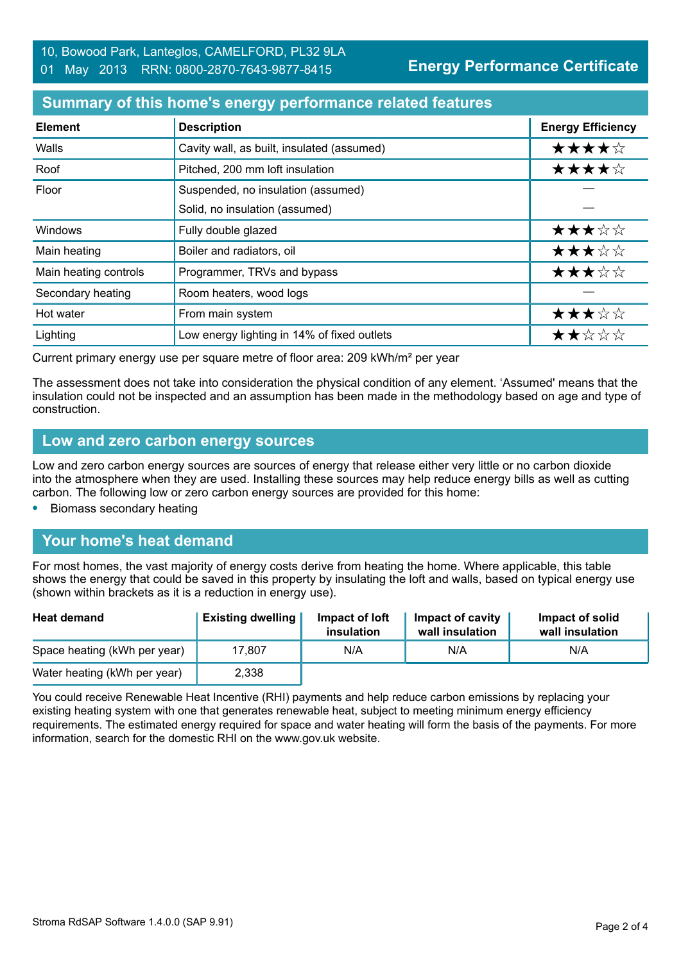# **Summary of this home's energy performance related features**

| <b>Element</b>        | <b>Description</b>                          | <b>Energy Efficiency</b> |
|-----------------------|---------------------------------------------|--------------------------|
| Walls                 | Cavity wall, as built, insulated (assumed)  | ★★★★☆                    |
| Roof                  | Pitched, 200 mm loft insulation             | ★★★★☆                    |
| Floor                 | Suspended, no insulation (assumed)          |                          |
|                       | Solid, no insulation (assumed)              |                          |
| Windows               | Fully double glazed                         | ★★★☆☆                    |
| Main heating          | Boiler and radiators, oil                   | ★★★☆☆                    |
| Main heating controls | Programmer, TRVs and bypass                 | ★★★☆☆                    |
| Secondary heating     | Room heaters, wood logs                     |                          |
| Hot water             | From main system                            | ★★★☆☆                    |
| Lighting              | Low energy lighting in 14% of fixed outlets | ★★☆☆☆                    |

Current primary energy use per square metre of floor area: 209 kWh/m² per year

The assessment does not take into consideration the physical condition of any element. 'Assumed' means that the insulation could not be inspected and an assumption has been made in the methodology based on age and type of construction.

#### **Low and zero carbon energy sources**

Low and zero carbon energy sources are sources of energy that release either very little or no carbon dioxide into the atmosphere when they are used. Installing these sources may help reduce energy bills as well as cutting carbon. The following low or zero carbon energy sources are provided for this home:

**•** Biomass secondary heating

# **Your home's heat demand**

For most homes, the vast majority of energy costs derive from heating the home. Where applicable, this table shows the energy that could be saved in this property by insulating the loft and walls, based on typical energy use (shown within brackets as it is a reduction in energy use).

| <b>Heat demand</b>           | <b>Existing dwelling</b> | Impact of loft<br>insulation | Impact of cavity<br>wall insulation | Impact of solid<br>wall insulation |
|------------------------------|--------------------------|------------------------------|-------------------------------------|------------------------------------|
| Space heating (kWh per year) | 17.807                   | N/A                          | N/A                                 | N/A                                |
| Water heating (kWh per year) | 2,338                    |                              |                                     |                                    |

You could receive Renewable Heat Incentive (RHI) payments and help reduce carbon emissions by replacing your existing heating system with one that generates renewable heat, subject to meeting minimum energy efficiency requirements. The estimated energy required for space and water heating will form the basis of the payments. For more information, search for the domestic RHI on the www.gov.uk website.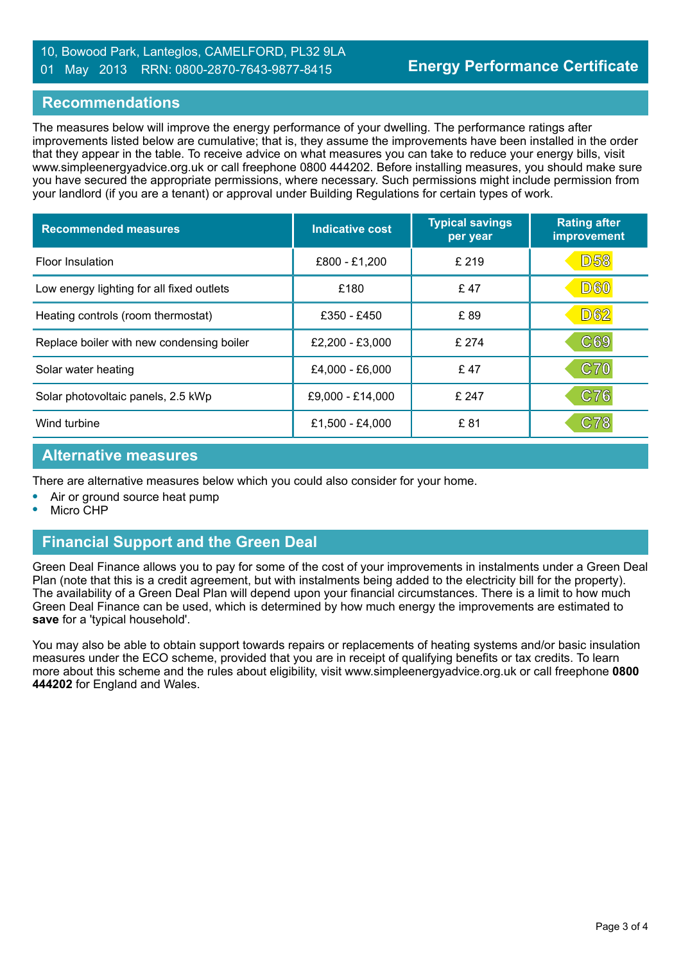#### 10, Bowood Park, Lanteglos, CAMELFORD, PL32 9LA 01 May 2013 RRN: 0800-2870-7643-9877-8415

#### **Recommendations**

The measures below will improve the energy performance of your dwelling. The performance ratings after improvements listed below are cumulative; that is, they assume the improvements have been installed in the order that they appear in the table. To receive advice on what measures you can take to reduce your energy bills, visit www.simpleenergyadvice.org.uk or call freephone 0800 444202. Before installing measures, you should make sure you have secured the appropriate permissions, where necessary. Such permissions might include permission from your landlord (if you are a tenant) or approval under Building Regulations for certain types of work.

| <b>Recommended measures</b>               | <b>Indicative cost</b> | <b>Typical savings</b><br>per year | <b>Rating after</b><br>improvement |
|-------------------------------------------|------------------------|------------------------------------|------------------------------------|
| <b>Floor Insulation</b>                   | £800 - £1,200          | £ 219                              | <b>D58</b>                         |
| Low energy lighting for all fixed outlets | £180                   | £47                                | <b>D60</b>                         |
| Heating controls (room thermostat)        | £350 - £450            | £89                                | <b>D62</b>                         |
| Replace boiler with new condensing boiler | £2,200 - £3,000        | £274                               | C69                                |
| Solar water heating                       | £4,000 - £6,000        | £47                                | C70                                |
| Solar photovoltaic panels, 2.5 kWp        | £9,000 - £14,000       | £ 247                              | C76                                |
| Wind turbine                              | £1,500 - £4,000        | £81                                | C78                                |

#### **Alternative measures**

There are alternative measures below which you could also consider for your home.

- **•** Air or ground source heat pump
- **•** Micro CHP

# **Financial Support and the Green Deal**

Green Deal Finance allows you to pay for some of the cost of your improvements in instalments under a Green Deal Plan (note that this is a credit agreement, but with instalments being added to the electricity bill for the property). The availability of a Green Deal Plan will depend upon your financial circumstances. There is a limit to how much Green Deal Finance can be used, which is determined by how much energy the improvements are estimated to **save** for a 'typical household'.

You may also be able to obtain support towards repairs or replacements of heating systems and/or basic insulation measures under the ECO scheme, provided that you are in receipt of qualifying benefits or tax credits. To learn more about this scheme and the rules about eligibility, visit www.simpleenergyadvice.org.uk or call freephone **0800 444202** for England and Wales.